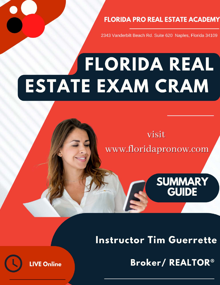### **FLORIDA PRO REAL ESTATE ACADEMY**

2343 Vanderbilt Beach Rd. Suite 620 Naples, Florida 34109

# FLORIDA REAL ESTATE EXAM CRAM

visit www.floridapronow.com

# **Instructor Tim Guerrette**

**Broker/REALTOR®** 

**SUMMARY** 

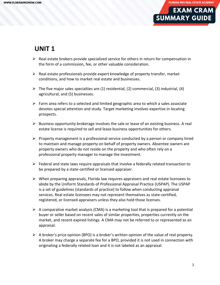

#### **EXAM CRAM SUMMARY GUIDE**

- $\triangleright$  Real estate brokers provide specialized service for others in return for compensation in the form of a commission, fee, or other valuable consideration.
- $\triangleright$  Real estate professionals provide expert knowledge of property transfer, market conditions, and how to market real estate and businesses.
- $\triangleright$  The five major sales specialties are (1) residential, (2) commercial, (3) industrial, (4) agricultural, and (5) businesses.
- ➢ Farm area refers to a selected and limited geographic area to which a sales associate devotes special attention and study. Target marketing involves expertise in locating prospects.
- $\triangleright$  Business opportunity brokerage involves the sale or lease of an existing business. A real estate license is required to sell and lease business opportunities for others.
- $\triangleright$  Property management is a professional service conducted by a person or company hired to maintain and manage property on behalf of property owners. Absentee owners are property owners who do not reside on the property and who often rely on a professional property manager to manage the investment.
- $\triangleright$  Federal and state laws require appraisals that involve a federally related transaction to be prepared by a state-certified or licensed appraiser.
- $\triangleright$  When preparing appraisals, Florida law requires appraisers and real estate licensees to abide by the Uniform Standards of Professional Appraisal Practice (USPAP). The USPAP is a set of guidelines (standards of practice) to follow when conducting appraisal services. Real estate licensees may not represent themselves as state-certified, registered, or licensed appraisers unless they also hold those licenses.
- $\triangleright$  A comparative market analysis (CMA) is a marketing tool that is prepared for a potential buyer or seller based on recent sales of similar properties, properties currently on the market, and recent expired listings. A CMA may not be referred to or represented as an appraisal.
- $\triangleright$  A broker's price opinion (BPO) is a broker's written opinion of the value of real property. A broker may charge a separate fee for a BPO, provided it is not used in connection with originating a federally related loan and it is not labeled as an appraisal.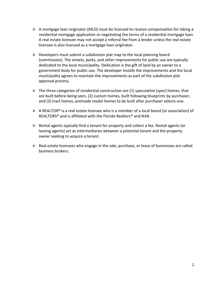- $\triangleright$  A mortgage loan originator (MLO) must be licensed to receive compensation for taking a residential mortgage application or negotiating the terms of a residential mortgage loan. A real estate licensee may not accept a referral fee from a lender unless the real estate licensee is also licensed as a mortgage loan originator.
- $\triangleright$  Developers must submit a subdivision plat map to the local planning board (commission). The streets, parks, and other improvements for public use are typically dedicated to the local municipality. Dedication is the gift of land by an owner to a government body for public use. The developer installs the improvements and the local municipality agrees to maintain the improvements as part of the subdivision plat approval process.
- $\triangleright$  The three categories of residential construction are (1) speculative (spec) homes, that are built before being seen, (2) custom homes, built following blueprints by purchaser, and (3) tract homes, premade model homes to be built after purchaser selects one.
- ➢ A REALTOR® is a real estate licensee who is a member of a local board (or association) of REALTORS® and is affiliated with the Florida Realtors® and NAR.
- $\triangleright$  Rental agents typically find a tenant for property and collect a fee. Rental agents (or leasing agents) act as intermediaries between a potential tenant and the property owner seeking to acquire a tenant.
- $\triangleright$  Real estate licensees who engage in the sale, purchase, or lease of businesses are called business brokers.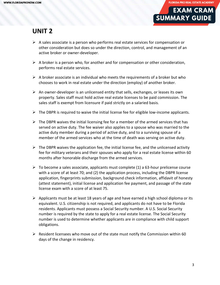

- $\triangleright$  A sales associate is a person who performs real estate services for compensation or other consideration but does so under the direction, control, and management of an active broker or owner-developer.
- $\triangleright$  A broker is a person who, for another and for compensation or other consideration, performs real estate services.
- $\triangleright$  A broker associate is an individual who meets the requirements of a broker but who chooses to work in real estate under the direction (employ) of another broker.
- $\triangleright$  An owner-developer is an unlicensed entity that sells, exchanges, or leases its own property. Sales staff must hold active real estate licenses to be paid commission. The sales staff is exempt from licensure if paid strictly on a salaried basis.
- $\triangleright$  The DBPR is required to waive the initial license fee for eligible low-income applicants.
- $\triangleright$  The DBPR waives the initial licensing fee for a member of the armed services that has served on active duty. The fee waiver also applies to a spouse who was married to the active duty member during a period of active duty, and to a surviving spouse of a member of the armed services who at the time of death was serving on active duty.
- $\triangleright$  The DBPR waives the application fee, the initial license fee, and the unlicensed activity fee for military veterans and their spouses who apply for a real estate license within 60 months after honorable discharge from the armed services.
- $\triangleright$  To become a sales associate, applicants must complete (1) a 63-hour prelicense course with a score of at least 70; and (2) the application process, including the DBPR license application, fingerprints submission, background check information, affidavit of honesty (attest statement), initial license and application fee payment, and passage of the state license exam with a score of at least 75.
- ➢ Applicants must be at least 18 years of age and have earned a high school diploma or its equivalent. U.S. citizenship is not required, and applicants do not have to be Florida residents. Applicants must possess a Social Security number. A U.S. Social Security number is required by the state to apply for a real estate license. The Social Security number is used to determine whether applicants are in compliance with child support obligations.
- $\triangleright$  Resident licensees who move out of the state must notify the Commission within 60 days of the change in residency.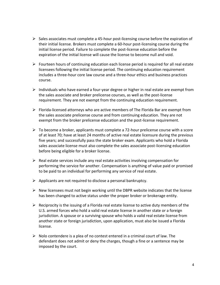- $\triangleright$  Sales associates must complete a 45-hour post-licensing course before the expiration of their initial license. Brokers must complete a 60-hour post-licensing course during the initial license period. Failure to complete the post-license education before the expiration of the initial license will cause the license to become null and void.
- $\triangleright$  Fourteen hours of continuing education each license period is required for all real estate licensees following the initial license period. The continuing education requirement includes a three-hour core law course and a three-hour ethics and business practices course.
- $\triangleright$  Individuals who have earned a four-year degree or higher in real estate are exempt from the sales associate and broker prelicense courses, as well as the post-license requirement. They are not exempt from the continuing education requirement.
- $\triangleright$  Florida-licensed attorneys who are active members of The Florida Bar are exempt from the sales associate prelicense course and from continuing education. They are not exempt from the broker prelicense education and the post-license requirement.
- $\triangleright$  To become a broker, applicants must complete a 72-hour prelicense course with a score of at least 70; have at least 24 months of active real estate licensure during the previous five years; and successfully pass the state broker exam. Applicants who hold a Florida sales associate license must also complete the sales associate post-licensing education before being eligible for a broker license.
- $\triangleright$  Real estate services include any real estate activities involving compensation for performing the service for another. Compensation is anything of value paid or promised to be paid to an individual for performing any service of real estate.
- $\triangleright$  Applicants are not required to disclose a personal bankruptcy.
- $\triangleright$  New licensees must not begin working until the DBPR website indicates that the license has been changed to active status under the proper broker or brokerage entity.
- $\triangleright$  Reciprocity is the issuing of a Florida real estate license to active duty members of the U.S. armed forces who hold a valid real estate license in another state or a foreign jurisdiction. A spouse or a surviving spouse who holds a valid real estate license from another state or foreign jurisdiction, upon application, must also be issued a Florida license.
- $\triangleright$  Nolo contendere is a plea of no contest entered in a criminal court of law. The defendant does not admit or deny the charges, though a fine or a sentence may be imposed by the court.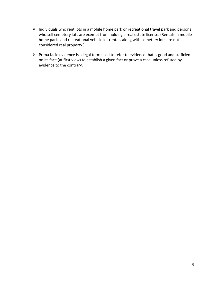- ➢ Individuals who rent lots in a mobile home park or recreational travel park and persons who sell cemetery lots are exempt from holding a real estate license. (Rentals in mobile home parks and recreational vehicle lot rentals along with cemetery lots are not considered real property.)
- ➢ Prima facie evidence is a legal term used to refer to evidence that is good and sufficient on its face (at first view) to establish a given fact or prove a case unless refuted by evidence to the contrary.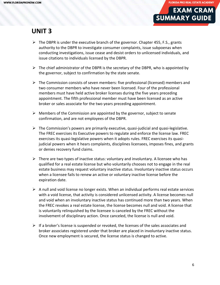

- $\triangleright$  The DBPR is under the executive branch of the governor. Chapter 455, F.S., grants authority to the DBPR to investigate consumer complaints, issue subpoenas when conducting investigations, issue cease and desist orders to unlicensed individuals, and issue citations to individuals licensed by the DBPR.
- $\triangleright$  The chief administrator of the DBPR is the secretary of the DBPR, who is appointed by the governor, subject to confirmation by the state senate.
- $\triangleright$  The Commission consists of seven members: five professional (licensed) members and two consumer members who have never been licensed. Four of the professional members must have held active broker licenses during the five years preceding appointment. The fifth professional member must have been licensed as an active broker or sales associate for the two years preceding appointment.
- $\triangleright$  Members of the Commission are appointed by the governor, subject to senate confirmation, and are not employees of the DBPR.
- $\triangleright$  The Commission's powers are primarily executive, quasi-judicial and quasi-legislative. The FREC exercises its Executive powers to regulate and enforce the license law. FREC exercises its quasi-legislative powers when it adopts rules. FREC exercises its quasijudicial powers when it hears complaints, disciplines licensees, imposes fines, and grants or denies recovery fund claims.
- $\triangleright$  There are two types of inactive status: voluntary and involuntary. A licensee who has qualified for a real estate license but who voluntarily chooses not to engage in the real estate business may request voluntary inactive status. Involuntary inactive status occurs when a licensee fails to renew an active or voluntary inactive license before the expiration date.
- $\triangleright$  A null and void license no longer exists. When an individual performs real estate services with a void license, that activity is considered unlicensed activity. A license becomes null and void when an involuntary inactive status has continued more than two years. When the FREC revokes a real estate license, the license becomes null and void. A license that is voluntarily relinquished by the licensee is canceled by the FREC without the involvement of disciplinary action. Once canceled, the license is null and void.
- $\triangleright$  If a broker's license is suspended or revoked, the licenses of the sales associates and broker associates registered under that broker are placed in involuntary inactive status. Once new employment is secured, the license status is changed to active.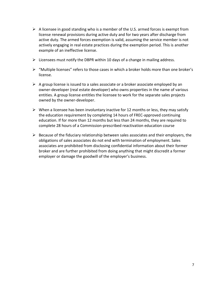- $\triangleright$  A licensee in good standing who is a member of the U.S. armed forces is exempt from license renewal provisions during active duty and for two years after discharge from active duty. The armed forces exemption is valid, assuming the service member is not actively engaging in real estate practices during the exemption period. This is another example of an ineffective license.
- $\triangleright$  Licensees must notify the DBPR within 10 days of a change in mailing address.
- ➢ "Multiple licenses" refers to those cases in which a broker holds more than one broker's license.
- $\triangleright$  A group license is issued to a sales associate or a broker associate employed by an owner-developer (real estate developer) who owns properties in the name of various entities. A group license entitles the licensee to work for the separate sales projects owned by the owner-developer.
- $\triangleright$  When a licensee has been involuntary inactive for 12 months or less, they may satisfy the education requirement by completing 14 hours of FREC-approved continuing education. If for more than 12 months but less than 24 months, they are required to complete 28 hours of a Commission-prescribed reactivation education course
- $\triangleright$  Because of the fiduciary relationship between sales associates and their employers, the obligations of sales associates do not end with termination of employment. Sales associates are prohibited from disclosing confidential information about their former broker and are further prohibited from doing anything that might discredit a former employer or damage the goodwill of the employer's business.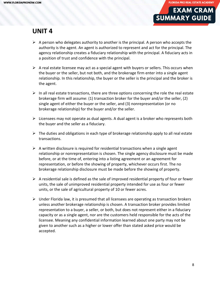

- $\triangleright$  A person who delegates authority to another is the principal. A person who accepts the authority is the agent. An agent is authorized to represent and act for the principal. The agency relationship creates a fiduciary relationship with the principal. A fiduciary acts in a position of trust and confidence with the principal.
- $\triangleright$  A real estate licensee may act as a special agent with buyers or sellers. This occurs when the buyer or the seller, but not both, and the brokerage firm enter into a single agent relationship. In this relationship, the buyer or the seller is the principal and the broker is the agent.
- $\triangleright$  In all real estate transactions, there are three options concerning the role the real estate brokerage firm will assume: (1) transaction broker for the buyer and/or the seller, (2) single agent of either the buyer or the seller, and (3) nonrepresentation (or no brokerage relationship) for the buyer and/or the seller.
- $\triangleright$  Licensees may not operate as dual agents. A dual agent is a broker who represents both the buyer and the seller as a fiduciary.
- ➢ The duties and obligations in each type of brokerage relationship apply to all real estate transactions.
- $\triangleright$  A written disclosure is required for residential transactions when a single agent relationship or nonrepresentation is chosen. The single agency disclosure must be made before, or at the time of, entering into a listing agreement or an agreement for representation, or before the showing of property, whichever occurs first. The no brokerage relationship disclosure must be made before the showing of property.
- $\triangleright$  A residential sale is defined as the sale of improved residential property of four or fewer units, the sale of unimproved residential property intended for use as four or fewer units, or the sale of agricultural property of 10 or fewer acres.
- $\triangleright$  Under Florida law, it is presumed that all licensees are operating as transaction brokers unless another brokerage relationship is chosen. A transaction broker provides limited representation to a buyer, a seller, or both, but does not represent either in a fiduciary capacity or as a single agent, nor are the customers held responsible for the acts of the licensee. Meaning any confidential information learned about one party may not be given to another such as a higher or lower offer than stated asked price would be accepted.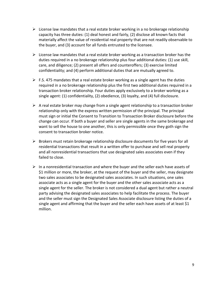- $\triangleright$  License law mandates that a real estate broker working in a no brokerage relationship capacity has three duties: (1) deal honest and fairly, (2) disclose all known facts that materially affect the value of residential real property that are not readily observable to the buyer, and (3) account for all funds entrusted to the licensee.
- $\triangleright$  License law mandates that a real estate broker working as a transaction broker has the duties required in a no brokerage relationship plus four additional duties: (1) use skill, care, and diligence; (2) present all offers and counteroffers; (3) exercise limited confidentiality; and (4) perform additional duties that are mutually agreed to.
- $\triangleright$  F.S. 475 mandates that a real estate broker working as a single agent has the duties required in a no brokerage relationship plus the first two additional duties required in a transaction broker relationship. Four duties apply exclusively to a broker working as a single agent: (1) confidentiality, (2) obedience, (3) loyalty, and (4) full disclosure.
- $\triangleright$  A real estate broker may change from a single agent relationship to a transaction broker relationship only with the express written permission of the principal. The principal must sign or initial the Consent to Transition to Transaction Broker disclosure before the change can occur. If both a buyer and seller are single agents in the same brokerage and want to sell the house to one another, this is only permissible once they goth sign the consent to transaction broker notice.
- $\triangleright$  Brokers must retain brokerage relationship disclosure documents for five years for all residential transactions that result in a written offer to purchase and sell real property and all nonresidential transactions that use designated sales associates even if they failed to close.
- $\triangleright$  In a nonresidential transaction and where the buyer and the seller each have assets of \$1 million or more, the broker, at the request of the buyer and the seller, may designate two sales associates to be designated sales associates. In such situations, one sales associate acts as a single agent for the buyer and the other sales associate acts as a single agent for the seller. The broker is not considered a dual agent but rather a neutral party advising the designated sales associates to help facilitate the process. The buyer and the seller must sign the Designated Sales Associate disclosure listing the duties of a single agent and affirming that the buyer and the seller each have assets of at least \$1 million.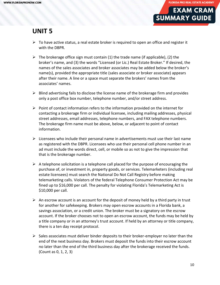

- $\triangleright$  To have active status, a real estate broker is required to open an office and register it with the DBPR.
- $\triangleright$  The brokerage office sign must contain (1) the trade name (if applicable), (2) the broker's name, and (3) the words "Licensed (or Lic.) Real Estate Broker." If desired, the names of the sales associates and broker associates may be added below the broker's name(s), provided the appropriate title (sales associate or broker associate) appears after their name. A line or a space must separate the brokers' names from the associates' names.
- $\triangleright$  Blind advertising fails to disclose the license name of the brokerage firm and provides only a post office box number, telephone number, and/or street address.
- $\triangleright$  Point of contact information refers to the information provided on the internet for contacting a brokerage firm or individual licensee, including mailing addresses, physical street addresses, email addresses, telephone numbers, and FAX telephone numbers. The brokerage firm name must be above, below, or adjacent to point of contact information.
- $\triangleright$  Licensees who include their personal name in advertisements must use their last name as registered with the DBPR. Licensees who use their personal cell phone number in an ad must include the words direct, cell, or mobile so as not to give the impression that that is the brokerage number.
- $\triangleright$  A telephone solicitation is a telephone call placed for the purpose of encouraging the purchase of, or investment in, property goods, or services. Telemarketers (including real estate licensees) must search the National Do Not Call Registry before making telemarketing calls. Violators of the federal Telephone Consumer Protection Act may be fined up to \$16,000 per call. The penalty for violating Florida's Telemarketing Act is \$10,000 per call.
- $\triangleright$  An escrow account is an account for the deposit of money held by a third party in trust for another for safekeeping. Brokers may open escrow accounts in a Florida bank, a savings association, or a credit union. The broker must be a signatory on the escrow account. If the broker chooses not to open an escrow account, the funds may be held by a title company or in an attorney's trust account. If held by an attorney or title company, there is a ten day receipt protocol.
- $\triangleright$  Sales associates must deliver binder deposits to their broker-employer no later than the end of the next business day. Brokers must deposit the funds into their escrow account no later than the end of the third business day after the brokerage received the funds. (Count as 0, 1, 2, 3)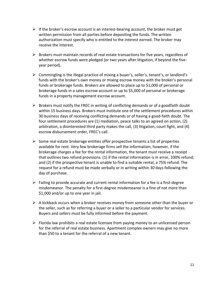- $\triangleright$  If the broker's escrow account is an interest-bearing account, the broker must get written permission from all parties before depositing the funds. The written authorization must specify who is entitled to the interest earned. The broker may receive the interest.
- $\triangleright$  Brokers must maintain records of real estate transactions for five years, regardless of whether escrow funds were pledged (or two years after litigation, if beyond the fiveyear period).
- ➢ Commingling is the illegal practice of mixing a buyer's, seller's, tenant's, or landlord's funds with the broker's own money or mixing escrow money with the broker's personal funds or brokerage funds. Brokers are allowed to place up to \$1,000 of personal or brokerage funds in a sales escrow account or up to \$5,000 of personal or brokerage funds in a property management escrow account.
- ➢ Brokers must notify the FREC in writing of conflicting demands or of a goodfaith doubt within 15 business days. Brokers must institute one of the settlement procedures within 30 business days of receiving conflicting demands or of having a good-faith doubt. The four settlement procedures are (1) mediation, peace talks to an agreed on action, (2) arbitration, a disinterested third party makes the call, (3) litigation, court fight, and (4) escrow disbursement order, FREC's call.
- $\triangleright$  Some real estate brokerage entities offer prospective tenants a list of properties available for rent. Very few brokerage firms sell the information; however, if the brokerage charges a fee for the rental information, the tenant must receive a receipt that outlines two refund provisions: (1) if the rental information is in error, 100% refund; and (2) if the prospective tenant is unable to find a suitable rental, a 75% refund. The request for a refund must be made verbally or in writing within 30 days following the day of purchase.
- $\triangleright$  Failing to provide accurate and current rental information for a fee is a first-degree misdemeanor. The penalty for a first-degree misdemeanor is a fine of not more than \$1,000 and/or up to one year in jail.
- $\triangleright$  A kickback occurs when a broker receives money from someone other than the buyer or the seller, such as for referring a buyer or a seller to a particular vendor for services. Buyers and sellers must be fully informed before the payment.
- $\triangleright$  Florida law prohibits a real estate licensee from paying money to an unlicensed person for the referral of real estate business. Apartment complex owners may give no more than \$50 to a tenant for the referral of a new tenant.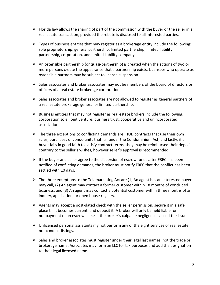- $\triangleright$  Florida law allows the sharing of part of the commission with the buyer or the seller in a real estate transaction, provided the rebate is disclosed to all interested parties.
- $\triangleright$  Types of business entities that may register as a brokerage entity include the following: sole proprietorship, general partnership, limited partnership, limited liability partnership, corporation, and limited liability company.
- $\triangleright$  An ostensible partnership (or quasi-partnership) is created when the actions of two or more persons create the appearance that a partnership exists. Licensees who operate as ostensible partners may be subject to license suspension.
- $\triangleright$  Sales associates and broker associates may not be members of the board of directors or officers of a real estate brokerage corporation.
- $\triangleright$  Sales associates and broker associates are not allowed to register as general partners of a real estate brokerage general or limited partnership.
- $\triangleright$  Business entities that may not register as real estate brokers include the following: corporation sole, joint venture, business trust, cooperative and unincorporated association.
- $\triangleright$  The three exceptions to conflicting demands are: HUD contracts that use their own rules, purchases of condo units that fall under the Condominium Act, and lastly, if a buyer fails in good faith to satisfy contract terms, they may be reimbursed their deposit contrary to the seller's wishes, however seller's approval is recommended.
- $\triangleright$  If the buyer and seller agree to the dispersion of escrow funds after FREC has been notified of conflicting demands, the broker must notify FREC that the conflict has been settled with 10 days.
- $\triangleright$  The three exceptions to the Telemarketing Act are (1) An agent has an interested buyer may call, (2) An agent may contact a former customer within 18 months of concluded business, and (3) An agent may contact a potential customer within three months of an inquiry, application, or open house registry.
- $\triangleright$  Agents may accept a post-dated check with the seller permission, secure it in a safe place till it becomes current, and deposit it. A broker will only be held liable for nonpayment of an escrow check if the broker's culpable negligence caused the issue.
- $\triangleright$  Unlicensed personal assistants my not perform any of the eight services of real estate nor conduct listings.
- $\triangleright$  Sales and broker associates must register under their legal last names, not the trade or brokerage name. Associates may form an LLC for tax purposes and add the designation to their legal licensed name.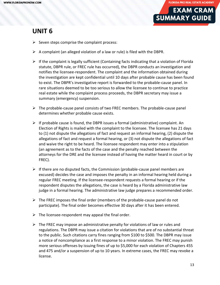

- $\triangleright$  Seven steps comprise the complaint process:
- $\triangleright$  A complaint (an alleged violation of a law or rule) is filed with the DBPR.
- $\triangleright$  If the complaint is legally sufficient (Containing facts indicating that a violation of Florida statute, DBPR rule, or FREC rule has occurred), the DBPR conducts an investigation and notifies the licensee-respondent. The complaint and the information obtained during the investigation are kept confidential until 10 days after probable cause has been found to exist. The DBPR's investigative report is forwarded to the probable-cause panel. In rare situations deemed to be too serious to allow the licensee to continue to practice real estate while the complaint process proceeds, the DBPR secretary may issue a summary (emergency) suspension.
- $\triangleright$  The probable-cause panel consists of two FREC members. The probable-cause panel determines whether probable cause exists.
- $\triangleright$  If probable cause is found, the DBPR issues a formal (administrative) complaint. An Election of Rights is mailed with the complaint to the licensee. The licensee has 21 days to (1) not dispute the allegations of fact and request an informal hearing, (2) dispute the allegations of fact and request a formal hearing, or (3) not dispute the allegations of fact and waive the right to be heard. The licensee respondent may enter into a stipulation (an agreement as to the facts of the case and the penalty reached between the attorneys for the DRE and the licensee instead of having the matter heard in court or by FREC).
- $\triangleright$  If there are no disputed facts, the Commission (probable-cause panel members are excused) decides the case and imposes the penalty in an informal hearing held during a regular FREC meeting. If the licensee-respondent requests a formal hearing or if the respondent disputes the allegations, the case is heard by a Florida administrative law judge in a formal hearing. The administrative law judge prepares a recommended order.
- $\triangleright$  The FREC imposes the final order (members of the probable-cause panel do not participate). The final order becomes effective 30 days after it has been entered.
- $\triangleright$  The licensee-respondent may appeal the final order.
- $\triangleright$  The FREC may impose an administrative penalty for violations of law or rules and regulations. The DBPR may issue a citation for violations that are of no substantial threat to the public. Such citations carry fines ranging from \$100 to \$500. The DBPR may issue a notice of noncompliance as a first response to a minor violation. The FREC may punish more serious offenses by issuing fines of up to \$5,000 for each violation of Chapters 455 and 475 and/or a suspension of up to 10 years. In extreme cases, the FREC may revoke a license.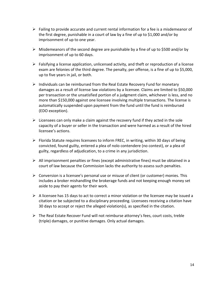- $\triangleright$  Failing to provide accurate and current rental information for a fee is a misdemeanor of the first degree, punishable in a court of law by a fine of up to \$1,000 and/or by imprisonment of up to one year.
- ➢ Misdemeanors of the second degree are punishable by a fine of up to \$500 and/or by imprisonment of up to 60 days.
- $\triangleright$  Falsifying a license application, unlicensed activity, and theft or reproduction of a license exam are felonies of the third degree. The penalty, per offense, is a fine of up to \$5,000, up to five years in jail, or both.
- $\triangleright$  Individuals can be reimbursed from the Real Estate Recovery Fund for monetary damages as a result of license law violations by a licensee. Claims are limited to \$50,000 per transaction or the unsatisfied portion of a judgment claim, whichever is less, and no more than \$150,000 against one licensee involving multiple transactions. The license is automatically suspended upon payment from the fund until the fund is reimbursed (EDO exception).
- $\triangleright$  Licensees can only make a claim against the recovery fund if they acted in the sole capacity of a buyer or seller in the transaction and were harmed as a result of the hired licensee's actions.
- ➢ Florida Statute requires licensees to inform FREC, in writing, within 30 days of being convicted, found guilty, entered a plea of nolo contendere (no contest), or a plea of guilty, regardless of adjudication, to a crime in any jurisdiction.
- $\triangleright$  All imprisonment penalties or fines (except administrative fines) must be obtained in a court of law because the Commission lacks the authority to assess such penalties.
- $\triangleright$  Conversion is a licensee's personal use or misuse of client (or customer) monies. This includes a broker mishandling the brokerage funds and not keeping enough money set aside to pay their agents for their work.
- $\triangleright$  A licensee has 15 days to act to correct a minor violation or the licensee may be issued a citation or be subjected to a disciplinary proceeding. Licensees receiving a citation have 30 days to accept or reject the alleged violation(s), as specified in the citation.
- $\triangleright$  The Real Estate Recover Fund will not reimburse attorney's fees, court costs, treble (triple) damages, or punitive damages. Only actual damages.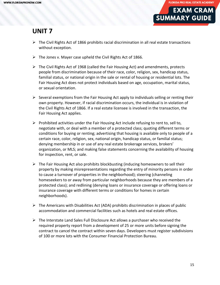

- $\triangleright$  The Civil Rights Act of 1866 prohibits racial discrimination in all real estate transactions without exception.
- ➢ The Jones v. Mayer case upheld the Civil Rights Act of 1866.
- $\triangleright$  The Civil Rights Act of 1968 (called the Fair Housing Act) and amendments, protects people from discrimination because of their race, color, religion, sex, handicap status, familial status, or national origin in the sale or rental of housing or residential lots. The Fair Housing Act does not protect individuals based on age, occupation, marital status, or sexual orientation.
- $\triangleright$  Several exemptions from the Fair Housing Act apply to individuals selling or renting their own property. However, if racial discrimination occurs, the individual is in violation of the Civil Rights Act of 1866. If a real estate licensee is involved in the transaction, the Fair Housing Act applies.
- $\triangleright$  Prohibited activities under the Fair Housing Act include refusing to rent to, sell to, negotiate with, or deal with a member of a protected class; quoting different terms or conditions for buying or renting; advertising that housing is available only to people of a certain race, color, religion, sex, national origin, handicap status, or familial status; denying membership in or use of any real estate brokerage services, brokers' organization, or MLS; and making false statements concerning the availability of housing for inspection, rent, or sale.
- $\triangleright$  The Fair Housing Act also prohibits blockbusting (inducing homeowners to sell their property by making misrepresentations regarding the entry of minority persons in order to cause a turnover of properties in the neighborhood); steering (channeling homeseekers to or away from particular neighborhoods because they are members of a protected class); and redlining (denying loans or insurance coverage or offering loans or insurance coverage with different terms or conditions for homes in certain neighborhoods).
- $\triangleright$  The Americans with Disabilities Act (ADA) prohibits discrimination in places of public accommodation and commercial facilities such as hotels and real estate offices.
- $\triangleright$  The Interstate Land Sales Full Disclosure Act allows a purchaser who received the required property report from a development of 25 or more units before signing the contract to cancel the contract within seven days. Developers must register subdivisions of 100 or more lots with the Consumer Financial Protection Bureau.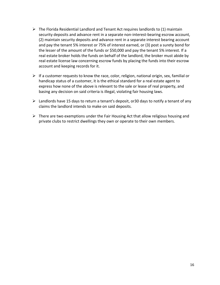- $\triangleright$  The Florida Residential Landlord and Tenant Act requires landlords to (1) maintain security deposits and advance rent in a separate non-interest-bearing escrow account, (2) maintain security deposits and advance rent in a separate interest bearing account and pay the tenant 5% interest or 75% of interest earned, or (3) post a surety bond for the lesser of the amount of the funds or \$50,000 and pay the tenant 5% interest. If a real estate broker holds the funds on behalf of the landlord, the broker must abide by real estate license law concerning escrow funds by placing the funds into their escrow account and keeping records for it.
- $\triangleright$  If a customer requests to know the race, color, religion, national origin, sex, familial or handicap status of a customer, it is the ethical standard for a real estate agent to express how none of the above is relevant to the sale or lease of real property, and basing any decision on said criteria is illegal, violating fair housing laws.
- $\triangleright$  Landlords have 15 days to return a tenant's deposit, or 30 days to notify a tenant of any claims the landlord intends to make on said deposits.
- $\triangleright$  There are two exemptions under the Fair Housing Act that allow religious housing and private clubs to restrict dwellings they own or operate to their own members.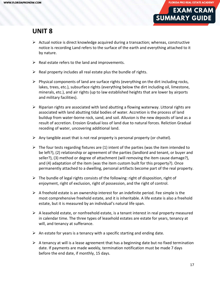

- $\triangleright$  Actual notice is direct knowledge acquired during a transaction; whereas, constructive notice is recording Land refers to the surface of the earth and everything attached to it by nature.
- $\triangleright$  Real estate refers to the land and improvements.
- $\triangleright$  Real property includes all real estate plus the bundle of rights.
- $\triangleright$  Physical components of land are surface rights (everything on the dirt including rocks, lakes, trees, etc.), subsurface rights (everything below the dirt including oil, limestone, minerals, etc.), and air rights (up to law established heights that are lower by airports and military facilities).
- $\triangleright$  Riparian rights are associated with land abutting a flowing waterway. Littoral rights are associated with land abutting tidal bodies of water. Accretion is the process of land buildup from water-borne rock, sand, and soil. Alluvion is the new deposits of land as a result of accretion. Erosion Gradual loss of land due to natural forces. Reliction Gradual receding of water, uncovering additional land.
- $\triangleright$  Any tangible asset that is not real property is personal property (or chattel).
- $\triangleright$  The four tests regarding fixtures are (1) intent of the parties (was the item intended to be left?), (2) relationship or agreement of the parties (landlord and tenant, or buyer and seller?), (3) method or degree of attachment (will removing the item cause damage?), and (4) adaptation of the item (was the item custom built for this property?). Once permanently attached to a dwelling, personal artifacts become part of the real property.
- $\triangleright$  The bundle of legal rights consists of the following: right of disposition, right of enjoyment, right of exclusion, right of possession, and the right of control.
- $\triangleright$  A freehold estate is an ownership interest for an indefinite period. Fee simple is the most comprehensive freehold estate, and it is inheritable. A life estate is also a freehold estate, but it is measured by an individual's natural life span.
- $\triangleright$  A leasehold estate, or nonfreehold estate, is a tenant interest in real property measured in calendar time. The three types of leasehold estates are estate for years, tenancy at will, and tenancy at sufferance.
- $\triangleright$  An estate for years is a tenancy with a specific starting and ending date.
- $\triangleright$  A tenancy at will is a lease agreement that has a beginning date but no fixed termination date. If payments are made weekly, termination notification must be made 7 days before the end date, if monthly, 15 days.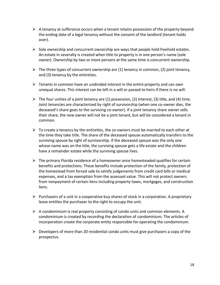- $\triangleright$  A tenancy at sufferance occurs when a tenant retains possession of the property beyond the ending date of a legal tenancy without the consent of the landlord (tenant holds over).
- $\triangleright$  Sole ownership and concurrent ownership are ways that people hold freehold estates. An estate in severalty is created when title to property is in one person's name (sole owner). Ownership by two or more persons at the same time is concurrent ownership.
- $\triangleright$  The three types of concurrent ownership are (1) tenancy in common, (2) joint tenancy, and (3) tenancy by the entireties.
- $\triangleright$  Tenants in common have an undivided interest in the entire property and can own unequal shares. This interest can be left in a will or passed to heirs if there is no will.
- $\triangleright$  The four unities of a joint tenancy are (1) possession, (2) interest, (3) title, and (4) time. Joint tenancies are characterized by right of survivorship (when one co-owner dies, the deceased's share goes to the surviving co-owner). If a joint tenancy share owner sells their share, the new owner will not be a joint tenant, but will be considered a tenant in common.
- $\triangleright$  To create a tenancy by the entireties, the co-owners must be married to each other at the time they take title. The share of the deceased spouse automatically transfers to the surviving spouse by right of survivorship. If the deceased spouse was the only one whose name was on the title, the surviving spouse gets a life estate and the children have a remainder estate while the surviving spouse lives.
- $\triangleright$  The primary Florida residence of a homeowner once homesteaded qualifies for certain benefits and protections. These benefits include protection of the family, protection of the homestead from forced sale to satisfy judgements from credit card bills or medical expenses, and a tax exemption from the assessed value. This will not protect owners from nonpayment of certain liens including property taxes, mortgages, and construction liens.
- $\triangleright$  Purchasers of a unit in a cooperative buy shares of stock in a corporation. A proprietary lease entitles the purchaser to the right to occupy the unit.
- $\triangleright$  A condominium is real property consisting of condo units and common elements. A condominium is created by recording the declaration of condominium. The articles of incorporation create the corporate entity responsible for operating the condominium.
- $\triangleright$  Developers of more than 20 residential condo units must give purchasers a copy of the prospectus.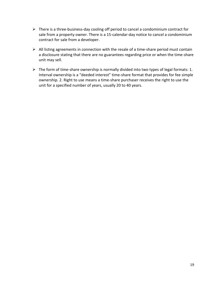- $\triangleright$  There is a three-business-day cooling off period to cancel a condominium contract for sale from a property owner. There is a 15-calendar-day notice to cancel a condominium contract for sale from a developer.
- $\triangleright$  All listing agreements in connection with the resale of a time-share period must contain a disclosure stating that there are no guarantees regarding price or when the time-share unit may sell.
- ➢ The form of time-share ownership is normally divided into two types of legal formats: 1. Interval ownership is a "deeded interest" time-share format that provides for fee simple ownership. 2. Right to use means a time-share purchaser receives the right to use the unit for a specified number of years, usually 20 to 40 years.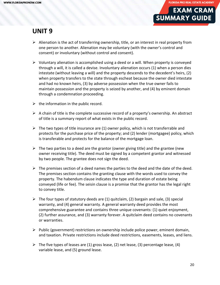

- $\triangleright$  Alienation is the act of transferring ownership, title, or an interest in real property from one person to another. Alienation may be voluntary (with the owner's control and consent) or involuntary (without control and consent).
- $\triangleright$  Voluntary alienation is accomplished using a deed or a will. When property is conveyed through a will, it is called a devise. Involuntary alienation occurs (1) when a person dies intestate (without leaving a will) and the property descends to the decedent's heirs, (2) when property transfers to the state through escheat because the owner died intestate and had no known heirs, (3) by adverse possession when the true owner fails to maintain possession and the property is seized by another, and (4) by eminent domain through a condemnation proceeding.
- $\triangleright$  the information in the public record.
- $\triangleright$  A chain of title is the complete successive record of a property's ownership. An abstract of title is a summary report of what exists in the public record.
- $\triangleright$  The two types of title insurance are (1) owner policy, which is not transferrable and protects for the purchase price of the property; and (2) lender (mortgagee) policy, which is transferable and protects for the balance of the mortgage loan.
- $\triangleright$  The two parties to a deed are the grantor (owner giving title) and the grantee (new owner receiving title). The deed must be signed by a competent grantor and witnessed by two people. The grantee does not sign the deed.
- $\triangleright$  The premises section of a deed names the parties to the deed and the date of the deed. The premises section contains the granting clause with the words used to convey the property. The habendum clause indicates the type and duration of estate being conveyed (life or fee). The seisin clause is a promise that the grantor has the legal right to convey title.
- $\triangleright$  The four types of statutory deeds are (1) quitclaim, (2) bargain and sale, (3) special warranty, and (4) general warranty. A general warranty deed provides the most comprehensive guarantee and contains three unique covenants: (1) quiet enjoyment, (2) further assurance, and (3) warranty forever. A quitclaim deed contains no covenants or warranties.
- $\triangleright$  Public (government) restrictions on ownership include police power, eminent domain, and taxation. Private restrictions include deed restrictions, easements, leases, and liens.
- $\triangleright$  The five types of leases are (1) gross lease, (2) net lease, (3) percentage lease, (4) variable lease, and (5) ground lease.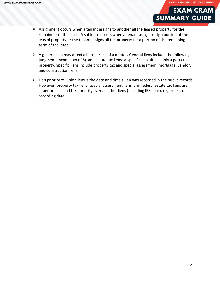

**SUMMARY GUIDE** 

**EXAM CRAM** 

- $\triangleright$  Assignment occurs when a tenant assigns to another all the leased property for the remainder of the lease. A sublease occurs when a tenant assigns only a portion of the leased property or the tenant assigns all the property for a portion of the remaining term of the lease.
- $\triangleright$  A general lien may affect all properties of a debtor. General liens include the following: judgment, income tax (IRS), and estate tax liens. A specific lien affects only a particular property. Specific liens include property tax and special assessment, mortgage, vendor, and construction liens.
- $\triangleright$  Lien priority of junior liens is the date and time a lien was recorded in the public records. However, property tax liens, special assessment liens, and federal estate tax liens are superior liens and take priority over all other liens (including IRS liens), regardless of recording date.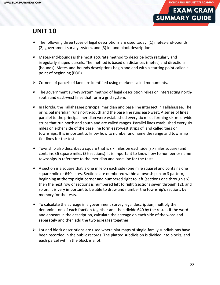

- $\triangleright$  The following three types of legal descriptions are used today: (1) metes-and-bounds, (2) government survey system, and (3) lot and block description.
- ➢ Metes-and-bounds is the most accurate method to describe both regularly and irregularly shaped parcels. The method is based on distances (metes) and directions (bounds). Metes-and-bounds descriptions begin and end with a starting point called a point of beginning (POB).
- $\triangleright$  Corners of parcels of land are identified using markers called monuments.
- $\triangleright$  The government survey system method of legal description relies on intersecting northsouth and east-west lines that form a grid system.
- $\triangleright$  In Florida, the Tallahassee principal meridian and base line intersect in Tallahassee. The principal meridian runs north-south and the base line runs east-west. A series of lines parallel to the principal meridian were established every six miles forming six-mile-wide strips that run north and south and are called ranges. Parallel lines established every six miles on either side of the base line form east-west strips of land called tiers or townships. It is important to know how to number and name the range and township tier lines for the tests.
- $\triangleright$  Township also describes a square that is six miles on each side (six miles square) and contains 36 square miles (36 sections). It is important to know how to number or name townships in reference to the meridian and base line for the tests.
- $\triangleright$  A section is a square that is one mile on each side (one mile square) and contains one square mile or 640 acres. Sections are numbered within a township in an S pattern, beginning at the top right corner and numbered right to left (sections one through six), then the next row of sections is numbered left to right (sections seven through 12), and so on. It is very important to be able to draw and number the township's sections by memory for the tests.
- $\triangleright$  To calculate the acreage in a government survey legal description, multiply the denominators of each fraction together and then divide 640 by the result. If the word and appears in the description, calculate the acreage on each side of the word and separately and then add the two acreages together.
- $\triangleright$  Lot and block descriptions are used where plat maps of single-family subdivisions have been recorded in the public records. The platted subdivision is divided into blocks, and each parcel within the block is a lot.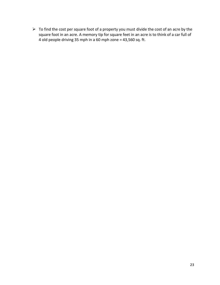➢ To find the cost per square foot of a property you must divide the cost of an acre by the square foot in an acre. A memory tip for square feet in an acre is to think of a car full of 4 old people driving 35 mph in a 60 mph zone = 43,560 sq. ft.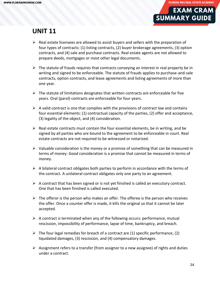

- $\triangleright$  Real estate licensees are allowed to assist buyers and sellers with the preparation of four types of contracts: (1) listing contracts, (2) buyer brokerage agreements, (3) option contracts, and (4) sale and purchase contracts. Real estate agents are not allowed to prepare deeds, mortgages or most other legal documents.
- $\triangleright$  The statute of frauds requires that contracts conveying an interest in real property be in writing and signed to be enforceable. The statute of frauds applies to purchase-and-sale contracts, option contracts, and lease agreements and listing agreements of more than one year.
- $\triangleright$  The statute of limitations designates that written contracts are enforceable for five years. Oral (parol) contracts are enforceable for four years.
- $\triangleright$  A valid contract is one that complies with the provisions of contract law and contains four essential elements: (1) contractual capacity of the parties, (2) offer and acceptance, (3) legality of the object, and (4) consideration.
- $\triangleright$  Real estate contracts must contain the four essential elements, be in writing, and be signed by all parties who are bound to the agreement to be enforceable in court. Real estate contracts are not required to be witnessed or notarized.
- $\triangleright$  Valuable consideration is the money or a promise of something that can be measured in terms of money. Good consideration is a promise that cannot be measured in terms of money.
- $\triangleright$  A bilateral contract obligates both parties to perform in accordance with the terms of the contract. A unilateral contract obligates only one party to an agreement.
- $\triangleright$  A contract that has been signed or is not yet finished is called an executory contract. One that has been finished is called executed.
- $\triangleright$  The offeror is the person who makes an offer. The offeree is the person who receives the offer. Once a counter offer is made, it kills the original so that it cannot be later accepted.
- $\triangleright$  A contract is terminated when any of the following occurs: performance, mutual rescission, impossibility of performance, lapse of time, bankruptcy, and breach.
- $\triangleright$  The four legal remedies for breach of a contract are (1) specific performance, (2) liquidated damages, (3) rescission, and (4) compensatory damages.
- ➢ Assignment refers to a transfer (from assignor to a new assignee) of rights and duties under a contract.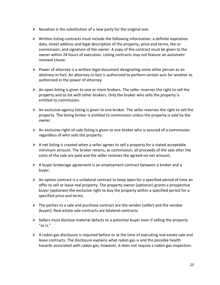- $\triangleright$  Novation is the substitution of a new party for the original one.
- $\triangleright$  Written listing contracts must include the following information: a definite expiration date, street address and legal description of the property, price and terms, fee or commission, and signature of the owner. A copy of the contract must be given to the owner within 24 hours of execution. Listing contracts may not feature an automatic renewal clause.
- $\triangleright$  Power of attorney is a written legal document designating some other person as an attorney-in-fact. An attorney-in-fact is authorized to perform certain acts for another as authorized in the power of attorney.
- $\triangleright$  An open listing is given to one or more brokers. The seller reserves the right to sell the property and to list with other brokers. Only the broker who sells the property is entitled to commission.
- ➢ An exclusive-agency listing is given to one broker. The seller reserves the right to sell the property. The listing broker is entitled to commission unless the property is sold by the owner.
- $\triangleright$  An exclusive-right-of-sale listing is given to one broker who is assured of a commission regardless of who sells the property.
- $\triangleright$  A net listing is created when a seller agrees to sell a property for a stated acceptable minimum amount. The broker retains, as commission, all proceeds of the sale after the costs of the sale are paid and the seller receives the agreed-on net amount.
- $\triangleright$  A buyer brokerage agreement is an employment contract between a broker and a buyer.
- $\triangleright$  An option contract is a unilateral contract to keep open for a specified period of time an offer to sell or lease real property. The property owner (optionor) grants a prospective buyer (optionee) the exclusive right to buy the property within a specified period for a specified price and terms.
- $\triangleright$  The parties to a sale and purchase contract are the vendor (seller) and the vendee (buyer). Real estate sale contracts are bilateral contracts.
- $\triangleright$  Sellers must disclose material defects to a potential buyer even if selling the property "as is."
- ➢ A radon gas disclosure is required before or at the time of executing real estate sale and lease contracts. The disclosure explains what radon gas is and the possible health hazards associated with radon gas; however, it does not require a radon gas inspection.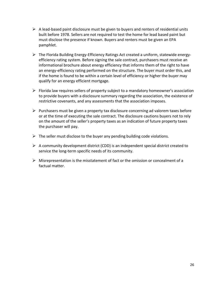- $\triangleright$  A lead-based paint disclosure must be given to buyers and renters of residential units built before 1978. Sellers are not required to test the home for lead based paint but must disclose the presence if known. Buyers and renters must be given an EPA pamphlet.
- ➢ The Florida Building Energy-Efficiency Ratings Act created a uniform, statewide energyefficiency rating system. Before signing the sale contract, purchasers must receive an informational brochure about energy efficiency that informs them of the right to have an energy-efficiency rating performed on the structure. The buyer must order this, and if the home is found to be within a certain level of efficiency or higher the buyer may qualify for an energy efficient mortgage.
- ➢ Florida law requires sellers of property subject to a mandatory homeowner's association to provide buyers with a disclosure summary regarding the association, the existence of restrictive covenants, and any assessments that the association imposes.
- $\triangleright$  Purchasers must be given a property tax disclosure concerning ad valorem taxes before or at the time of executing the sale contract. The disclosure cautions buyers not to rely on the amount of the seller's property taxes as an indication of future property taxes the purchaser will pay.
- $\triangleright$  The seller must disclose to the buyer any pending building code violations.
- $\triangleright$  A community development district (CDD) is an independent special district created to service the long-term specific needs of its community.
- $\triangleright$  Misrepresentation is the misstatement of fact or the omission or concealment of a factual matter.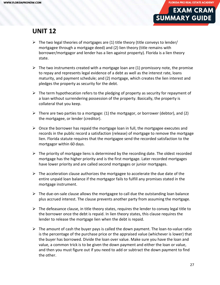

- $\triangleright$  The two legal theories of mortgages are (1) title theory (title conveys to lender/ mortgagee through a mortgage deed) and (2) lien theory (title remains with borrower/mortgagor and lender has a lien against property). Florida is a lien theory state.
- $\triangleright$  The two instruments created with a mortgage loan are (1) promissory note, the promise to repay and represents legal evidence of a debt as well as the interest rate, loans maturity, and payment schedule; and (2) mortgage, which creates the lien interest and pledges the property as security for the debt.
- $\triangleright$  The term hypothecation refers to the pledging of property as security for repayment of a loan without surrendering possession of the property. Basically, the property is collateral that you keep.
- $\triangleright$  There are two parties to a mortgage: (1) the mortgagor, or borrower (debtor), and (2) the mortgagee, or lender (creditor).
- $\triangleright$  Once the borrower has repaid the mortgage loan in full, the mortgagee executes and records in the public record a satisfaction (release) of mortgage to remove the mortgage lien. Florida statute requires that the mortgagee send the recorded satisfaction to the mortgagor within 60 days.
- $\triangleright$  The priority of mortgage liens is determined by the recording date. The oldest recorded mortgage has the higher priority and is the first mortgage. Later recorded mortgages have lower priority and are called second mortgages or junior mortgages.
- $\triangleright$  The acceleration clause authorizes the mortgagee to accelerate the due date of the entire unpaid loan balance if the mortgagor fails to fulfill any promises stated in the mortgage instrument.
- $\triangleright$  The due-on-sale clause allows the mortgagee to call due the outstanding loan balance plus accrued interest. The clause prevents another party from assuming the mortgage.
- $\triangleright$  The defeasance clause, in title theory states, requires the lender to convey legal title to the borrower once the debt is repaid. In lien theory states, this clause requires the lender to release the mortgage lien when the debt is repaid.
- $\triangleright$  The amount of cash the buyer pays is called the down payment. The loan-to-value ratio is the percentage of the purchase price or the appraised value (whichever is lower) that the buyer has borrowed. Divide the loan over value. Make sure you have the loan and value, a common trick is to be given the down payment and either the loan or value, and then you must figure out if you need to add or subtract the down payment to find the other.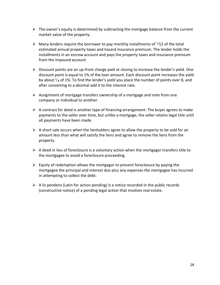- $\triangleright$  The owner's equity is determined by subtracting the mortgage balance from the current market value of the property.
- $\triangleright$  Many lenders require the borrower to pay monthly installments of  $\frac{1}{12}$  of the total estimated annual property taxes and hazard insurance premium. The lender holds the installments in an escrow account and pays the property taxes and insurance premium from the impound account.
- $\triangleright$  Discount points are an up-front charge paid at closing to increase the lender's yield. One discount point is equal to 1% of the loan amount. Each discount point increases the yield by about  $\frac{1}{8}$  of 1%. To find the lender's yield you place the number of points over 8, and after converting to a decimal add it to the interest rate.
- ➢ Assignment of mortgage transfers ownership of a mortgage and note from one company or individual to another.
- $\triangleright$  A contract for deed is another type of financing arrangement. The buyer agrees to make payments to the seller over time, but unlike a mortgage, the seller retains legal title until all payments have been made.
- $\triangleright$  A short sale occurs when the lienholders agree to allow the property to be sold for an amount less than what will satisfy the liens and agree to remove the liens from the property.
- $\triangleright$  A deed in lieu of foreclosure is a voluntary action when the mortgagor transfers title to the mortgagee to avoid a foreclosure proceeding.
- $\triangleright$  Equity of redemption allows the mortgagor to prevent foreclosure by paying the mortgagee the principal and interest due plus any expenses the mortgagee has incurred in attempting to collect the debt.
- $\triangleright$  A lis pendens (Latin for action pending) is a notice recorded in the public records (constructive notice) of a pending legal action that involves real estate.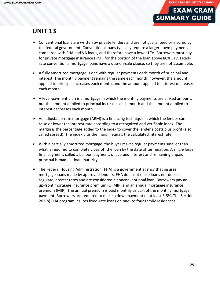

- ➢ Conventional loans are written by private lenders and are not guaranteed or insured by the federal government. Conventional loans typically require a larger down payment, compared with FHA and VA loans, and therefore have a lower LTV. Borrowers must pay for private mortgage insurance (PMI) for the portion of the loan above 80% LTV. Fixedrate conventional mortgage loans have a due-on-sale clause, so they are not assumable.
- $\triangleright$  A fully amortized mortgage is one with regular payments each month of principal and interest. The monthly payment remains the same each month; however, the amount applied to principal increases each month, and the amount applied to interest decreases each month.
- $\triangleright$  A level-payment plan is a mortgage in which the monthly payments are a fixed amount, but the amount applied to principal increases each month and the amount applied to interest decreases each month.
- $\triangleright$  An adjustable-rate mortgage (ARM) is a financing technique in which the lender can raise or lower the interest rate according to a recognized and verifiable index. The margin is the percentage added to the index to cover the lender's costs plus profit (also called spread). The index plus the margin equals the calculated interest rate.
- $\triangleright$  With a partially amortized mortgage, the buyer makes regular payments smaller than what is required to completely pay off the loan by the date of termination. A single large final payment, called a balloon payment, of accrued interest and remaining unpaid principal is made at loan maturity.
- $\triangleright$  The Federal Housing Administration (FHA) is a government agency that insures mortgage loans made by approved lenders. FHA does not make loans nor does it regulate interest rates and are considered a nonconventional loan. Borrowers pay an up-front mortgage insurance premium (UFMIP) and an annual mortgage insurance premium (MIP). The annual premium is paid monthly as part of the monthly mortgage payment. Borrowers are required to make a down payment of at least 3.5%. The Section 203(b) FHA program insures fixed-rate loans on one- to four-family residences.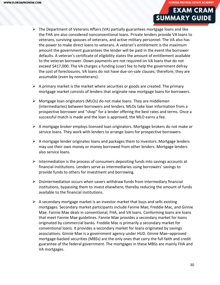**FLORIDA PRO REAL ESTATE ACADEMY** 

**SUMMARY GUIDE** 

**EXAM CRAM** 

- $\triangleright$  The Department of Veterans Affairs (VA) partially guarantees mortgage loans and like the FHA are also considered nonconventional loans. Private lenders provide VA loans to veterans, surviving spouses of veterans, and active military personnel. The VA also has the power to make direct loans to veterans. A veteran's entitlement is the maximum amount the government guarantees the lender will be paid in the event the borrower defaults. A veteran's certificate of eligibility states the amount of entitlement available to the veteran borrower. Down payments are not required on VA loans that do not exceed \$417,000. The VA charges a funding (user) fee to help the government defray the cost of foreclosures. VA loans do not have due-on-sale clauses; therefore, they are assumable (even by nonveterans).
- $\triangleright$  A primary market is the market where securities or goods are created. The primary mortgage market consists of lenders that originate new mortgage loans for borrowers.
- $\triangleright$  Mortgage loan originators (MLOs) do not make loans. They are middlemen (intermediaries) between borrowers and lenders. MLOs take loan information from a prospective borrower and "shop" for a lender offering the best rates and terms. Once a successful match is made and the loan is approved, the MLO earns a fee.
- ➢ A mortgage broker employs licensed loan originators. Mortgage brokers do not make or service loans. They work with lenders to arrange loans for prospective borrowers.
- $\triangleright$  A mortgage lender originates loans and packages them to investors. Mortgage lenders may use their own money or money borrowed from other lenders. Mortgage lenders also service loans.
- $\triangleright$  Intermediation is the process of consumers depositing funds into savings accounts at financial institutions. Lenders serve as intermediaries using borrowers' savings to provide funds to others for investment and borrowing.
- $\triangleright$  Disintermediation occurs when savers withdraw funds from intermediary financial institutions, bypassing them to invest elsewhere, thereby reducing the amount of funds available to the financial institutions.
- $\triangleright$  A secondary mortgage market is an investor market that buys and sells existing mortgages. Secondary market participants include Fannie Mae, Freddie Mac, and Ginnie Mae. Fannie Mae deals in conventional, FHA, and VA loans. Conforming loans are loans that meet Fannie Mae guidelines. Fannie Mae provides a secondary market for loans originated by commercial banks. Freddie Mac is primarily a secondary market for conventional loans. It provides a secondary market for loans originated by savings associations. Ginnie Mae is a government agency under HUD. Ginnie Mae–approved mortgage-backed securities (MBSs) are the only ones that carry the full faith and credit guarantee of the federal government. The mortgages in these MBSs are mainly FHA and VA mortgages.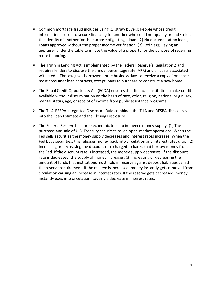- $\triangleright$  Common mortgage fraud includes using (1) straw buyers; People whose credit information is used to secure financing for another who could not qualify or had stolen the identity of another for the purpose of getting a loan. (2) No documentation loans; Loans approved without the proper income verification. (3) Red flags; Paying an appraiser under the table to inflate the value of a property for the purpose of receiving more financing.
- ➢ The Truth in Lending Act is implemented by the Federal Reserve's Regulation Z and requires lenders to disclose the annual percentage rate (APR) and all costs associated with credit. The law gives borrowers three business days to receive a copy of or cancel most consumer loan contracts, except loans to purchase or construct a new home.
- $\triangleright$  The Equal Credit Opportunity Act (ECOA) ensures that financial institutions make credit available without discrimination on the basis of race, color, religion, national origin, sex, marital status, age, or receipt of income from public assistance programs.
- ➢ The TILA-RESPA Integrated Disclosure Rule combined the TILA and RESPA disclosures into the Loan Estimate and the Closing Disclosure.
- $\triangleright$  The Federal Reserve has three economic tools to influence money supply: (1) The purchase and sale of U.S. Treasury securities called open-market operations. When the Fed sells securities the money supply decreases and interest rates increase. When the Fed buys securities, this releases money back into circulation and interest rates drop. (2) Increasing or decreasing the discount rate charged to banks that borrow money from the Fed. If the discount rate is increased, the money supply decreases, if the discount rate is decreased, the supply of money increases. (3) Increasing or decreasing the amount of funds that institutions must hold in reserve against deposit liabilities called the reserve requirement. If the reserve is increased, money instantly gets removed from circulation causing an increase in interest rates. If the reserve gets decreased, money instantly goes into circulation, causing a decrease in interest rates.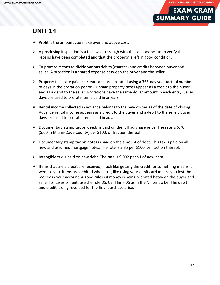

**SUMMARY GUIDE** 

**EXAM CRAM** 

- $\triangleright$  Profit is the amount you make over and above cost.
- $\triangleright$  A preclosing inspection is a final walk-through with the sales associate to verify that repairs have been completed and that the property is left in good condition.
- $\triangleright$  To prorate means to divide various debits (charges) and credits between buyer and seller. A proration is a shared expense between the buyer and the seller.
- $\triangleright$  Property taxes are paid in arrears and are prorated using a 365-day year (actual number of days in the proration period). Unpaid property taxes appear as a credit to the buyer and as a debit to the seller. Prorations have the same dollar amount in each entry. Seller days are used to prorate items paid in arrears.
- $\triangleright$  Rental income collected in advance belongs to the new owner as of the date of closing. Advance rental income appears as a credit to the buyer and a debit to the seller. Buyer days are used to prorate items paid in advance.
- $\triangleright$  Documentary stamp tax on deeds is paid on the full purchase price. The rate is \$.70 (\$.60 in Miami-Dade County) per \$100, or fraction thereof.
- $\triangleright$  Documentary stamp tax on notes is paid on the amount of debt. This tax is paid on all new and assumed mortgage notes. The rate is \$.35 per \$100, or fraction thereof.
- ➢ Intangible tax is paid on new debt. The rate is \$.002 per \$1 of new debt.
- $\triangleright$  Items that are a credit are received, much like getting the credit for something means it went to you. Items are debited when lost, like using your debit card means you lost the money in your account. A good rule is if money is being prorated between the buyer and seller for taxes or rent, use the rule DS, CB. Think DS as in the Nintendo DS. The debit and credit is only reversed for the final purchase price.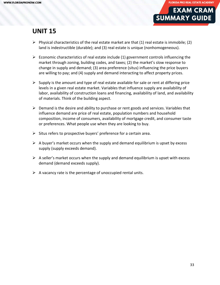

- $\triangleright$  Physical characteristics of the real estate market are that (1) real estate is immobile; (2) land is indestructible (durable); and (3) real estate is unique (nonhomogeneous).
- $\triangleright$  Economic characteristics of real estate include (1) government controls influencing the market through zoning, building codes, and taxes; (2) the market's slow response to change in supply and demand; (3) area preference (situs) influencing the price buyers are willing to pay; and (4) supply and demand interacting to affect property prices.
- $\triangleright$  Supply is the amount and type of real estate available for sale or rent at differing price levels in a given real estate market. Variables that influence supply are availability of labor, availability of construction loans and financing, availability of land, and availability of materials. Think of the building aspect.
- $\triangleright$  Demand is the desire and ability to purchase or rent goods and services. Variables that influence demand are price of real estate, population numbers and household composition, income of consumers, availability of mortgage credit, and consumer taste or preferences. What people use when they are looking to buy.
- $\triangleright$  Situs refers to prospective buyers' preference for a certain area.
- $\triangleright$  A buyer's market occurs when the supply and demand equilibrium is upset by excess supply (supply exceeds demand).
- $\triangleright$  A seller's market occurs when the supply and demand equilibrium is upset with excess demand (demand exceeds supply).
- $\triangleright$  A vacancy rate is the percentage of unoccupied rental units.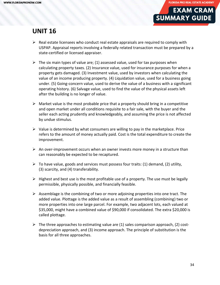

**SUMMARY GUIDE** 

**EXAM CRAM** 

- $\triangleright$  Real estate licensees who conduct real estate appraisals are required to comply with USPAP. Appraisal reports involving a federally related transaction must be prepared by a state-certified or licensed appraiser.
- $\triangleright$  The six main types of value are; (1) assessed value, used for tax purposes when calculating property taxes. (2) Insurance value, used for insurance purposes for when a property gets damaged. (3) Investment value, used by investors when calculating the value of an income producing property. (4) Liquidation value, used for a business going under. (5) Going-concern value, used to derive the value of a business with a significant operating history. (6) Salvage value, used to find the value of the physical assets left after the building is no longer of value.
- $\triangleright$  Market value is the most probable price that a property should bring in a competitive and open market under all conditions requisite to a fair sale, with the buyer and the seller each acting prudently and knowledgeably, and assuming the price is not affected by undue stimulus.
- $\triangleright$  Value is determined by what consumers are willing to pay in the marketplace. Price refers to the amount of money actually paid. Cost is the total expenditure to create the improvement.
- $\triangleright$  An over-improvement occurs when an owner invests more money in a structure than can reasonably be expected to be recaptured.
- $\triangleright$  To have value, goods and services must possess four traits: (1) demand, (2) utility, (3) scarcity, and (4) transferability.
- $\triangleright$  Highest and best use is the most profitable use of a property. The use must be legally permissible, physically possible, and financially feasible.
- $\triangleright$  Assemblage is the combining of two or more adjoining properties into one tract. The added value. Plottage is the added value as a result of assembling (combining) two or more properties into one large parcel. For example, two adjacent lots, each valued at \$35,000, might have a combined value of \$90,000 if consolidated. The extra \$20,000 is called plottage.
- $\triangleright$  The three approaches to estimating value are (1) sales comparison approach, (2) costdepreciation approach, and (3) income approach. The principle of substitution is the basis for all three approaches.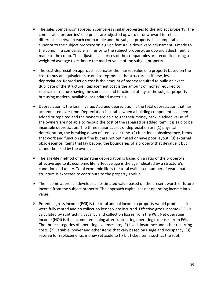- $\triangleright$  The sales comparison approach compares similar properties to the subject property. The comparable properties' sale prices are adjusted upward or downward to reflect differences between each comparable and the subject property. If a comparable is superior to the subject property on a given feature, a downward adjustment is made to the comp. If a comparable is inferior to the subject property, an upward adjustment is made to the comp. The adjusted sale prices of the comparables are reconciled using a weighted average to estimate the market value of the subject property.
- $\triangleright$  The cost-depreciation approach estimates the market value of a property based on the cost to buy an equivalent site and to reproduce the structure as if new, less depreciation. Reproduction cost is the amount of money required to build an exact duplicate of the structure. Replacement cost is the amount of money required to replace a structure having the same use and functional utility as the subject property but using modern, available, or updated materials.
- $\triangleright$  Depreciation is the loss in value. Accrued depreciation is the total depreciation that has accumulated over time. Depreciation is curable when a building component has been added or repaired and the owners are able to get their money back in added value. If the owners are not able to recoup the cost of the repaired or added item, it is said to be incurable depreciation. The three major causes of depreciation are (1) physical deterioration, the breaking down of items over time. (2) functional obsolescence, items that work and function just fine but are not optimized or have poor layout. (3) external obsolescence, items that lay beyond the boundaries of a property that devalue it but cannot be fixed by the owner.
- $\triangleright$  The age-life method of estimating depreciation is based on a ratio of the property's effective age to its economic life. Effective age is the age indicated by a structure's condition and utility. Total economic life is the total estimated number of years that a structure is expected to contribute to the property's value.
- $\triangleright$  The income approach develops an estimated value based on the present worth of future income from the subject property. The approach capitalizes net operating income into value.
- ➢ Potential gross income (PGI) is the total annual income a property would produce if it were fully rented and no collection losses were incurred. Effective gross income (EGI) is calculated by subtracting vacancy and collection losses from the PGI. Net operating income (NOI) is the income remaining after subtracting operating expenses from EGI. The three categories of operating expenses are; (1) fixed, Insurance and other recurring costs. (2) variable, power and other items that vary based on usage and occupancy. (3) reserve for replacements, money set aside to fix bit ticket items such as the roof.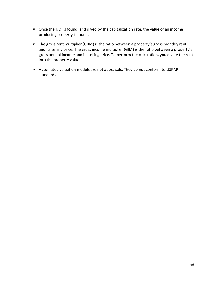- $\triangleright$  Once the NOI is found, and dived by the capitalization rate, the value of an income producing property is found.
- ➢ The gross rent multiplier (GRM) is the ratio between a property's gross monthly rent and its selling price. The gross income multiplier (GIM) is the ratio between a property's gross annual income and its selling price. To perform the calculation, you divide the rent into the property value.
- ➢ Automated valuation models are not appraisals. They do not conform to USPAP standards.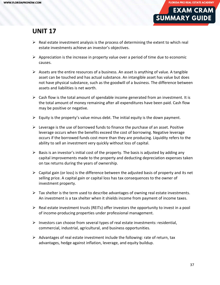

- $\triangleright$  Real estate investment analysis is the process of determining the extent to which real estate investments achieve an investor's objectives.
- $\triangleright$  Appreciation is the increase in property value over a period of time due to economic causes.
- $\triangleright$  Assets are the entire resources of a business. An asset is anything of value. A tangible asset can be touched and has actual substance. An intangible asset has value but does not have physical substance, such as the goodwill of a business. The difference between assets and liabilities is net worth.
- $\triangleright$  Cash flow is the total amount of spendable income generated from an investment. It is the total amount of money remaining after all expenditures have been paid. Cash flow may be positive or negative.
- $\triangleright$  Equity is the property's value minus debt. The initial equity is the down payment.
- $\triangleright$  Leverage is the use of borrowed funds to finance the purchase of an asset. Positive leverage occurs when the benefits exceed the cost of borrowing. Negative leverage occurs if the borrowed funds cost more than they are producing. Liquidity refers to the ability to sell an investment very quickly without loss of capital.
- $\triangleright$  Basis is an investor's initial cost of the property. The basis is adjusted by adding any capital improvements made to the property and deducting depreciation expenses taken on tax returns during the years of ownership.
- $\triangleright$  Capital gain (or loss) is the difference between the adjusted basis of property and its net selling price. A capital gain or capital loss has tax consequences to the owner of investment property.
- $\triangleright$  Tax shelter is the term used to describe advantages of owning real estate investments. An investment is a tax shelter when it shields income from payment of income taxes.
- $\triangleright$  Real estate investment trusts (REITs) offer investors the opportunity to invest in a pool of income-producing properties under professional management.
- $\triangleright$  Investors can choose from several types of real estate investments: residential, commercial, industrial, agricultural, and business opportunities.
- $\triangleright$  Advantages of real estate investment include the following: rate of return, tax advantages, hedge against inflation, leverage, and equity buildup.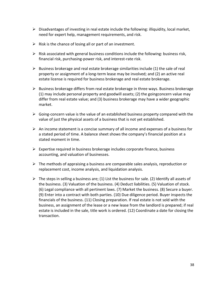- $\triangleright$  Disadvantages of investing in real estate include the following: illiquidity, local market, need for expert help, management requirements, and risk.
- $\triangleright$  Risk is the chance of losing all or part of an investment.
- $\triangleright$  Risk associated with general business conditions include the following: business risk, financial risk, purchasing-power risk, and interest-rate risk.
- $\triangleright$  Business brokerage and real estate brokerage similarities include (1) the sale of real property or assignment of a long-term lease may be involved; and (2) an active real estate license is required for business brokerage and real estate brokerage.
- ➢ Business brokerage differs from real estate brokerage in three ways. Business brokerage (1) may include personal property and goodwill assets; (2) the goingconcern value may differ from real estate value; and (3) business brokerage may have a wider geographic market.
- $\triangleright$  Going-concern value is the value of an established business property compared with the value of just the physical assets of a business that is not yet established.
- $\triangleright$  An income statement is a concise summary of all income and expenses of a business for a stated period of time. A balance sheet shows the company's financial position at a stated moment in time.
- $\triangleright$  Expertise required in business brokerage includes corporate finance, business accounting, and valuation of businesses.
- $\triangleright$  The methods of appraising a business are comparable sales analysis, reproduction or replacement cost, income analysis, and liquidation analysis.
- $\triangleright$  The steps in selling a business are; (1) List the business for sale. (2) Identify all assets of the business. (3) Valuation of the business. (4) Deduct liabilities. (5) Valuation of stock. (6) Legal compliance with all pertinent laws. (7) Market the business. (8) Secure a buyer. (9) Enter into a contract with both parties. (10) Due diligence period. Buyer inspects the financials of the business. (11) Closing preparation. If real estate is not sold with the business, an assignment of the lease or a new lease from the landlord is prepared; if real estate is included in the sale, title work is ordered. (12) Coordinate a date for closing the transaction.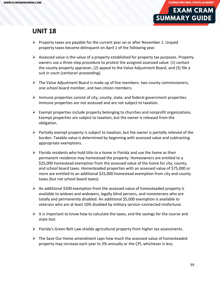

- $\triangleright$  Property taxes are payable for the current year on or after November 1. Unpaid property taxes become delinquent on April 1 of the following year.
- $\triangleright$  Assessed value is the value of a property established for property tax purposes. Property owners use a three-step procedure to protest the assigned assessed value: (1) contact the county property appraiser, (2) appeal to the Value Adjustment Board, and (3) file a suit in court (certiorari proceeding).
- $\triangleright$  The Value Adjustment Board is made up of five members: two county commissioners, one school board member, and two citizen members.
- $\triangleright$  Immune properties consist of city, county, state, and federal government properties. Immune properties are not assessed and are not subject to taxation.
- $\triangleright$  Exempt properties include property belonging to churches and nonprofit organizations. Exempt properties are subject to taxation, but the owner is released from the obligation.
- $\triangleright$  Partially exempt property is subject to taxation, but the owner is partially relieved of the burden. Taxable value is determined by beginning with assessed value and subtracting appropriate exemptions.
- $\triangleright$  Florida residents who hold title to a home in Florida and use the home as their permanent residence may homestead the property. Homeowners are entitled to a \$25,000 homestead exemption from the assessed value of the home for city, county, and school board taxes. Homesteaded properties with an assessed value of \$75,000 or more are entitled to an additional \$25,000 homestead exemption from city and county taxes (but not school board taxes).
- $\triangleright$  An additional \$500 exemption from the assessed value of homesteaded property is available to widows and widowers, legally blind persons, and nonveterans who are totally and permanently disabled. An additional \$5,000 exemption is available to veterans who are at least 10% disabled by military service–connected misfortune.
- $\triangleright$  It is important to know how to calculate the taxes, and the savings for the course and state test.
- $\triangleright$  Florida's Green Belt Law shields agricultural property from higher tax assessments.
- $\triangleright$  The Save Our Home amendment caps how much the assessed value of homesteaded property may increase each year to 3% annually or the CPI, whichever is less.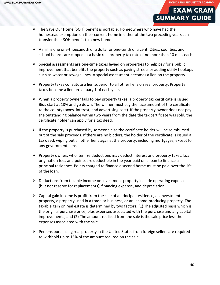**FLORIDA PRO REAL ESTATE ACADEMY** 

**SUMMARY GUIDE** 

**EXAM CRAM** 

- ➢ The Save Our Home (SOH) benefit is portable. Homeowners who have had the homestead exemption on their current home in either of the two preceding years can transfer their SOH benefit to a new home.
- ➢ A mill is one one-thousandth of a dollar or one-tenth of a cent. Cities, counties, and school boards are capped at a basic real property tax rate of no more than 10 mills each.
- $\triangleright$  Special assessments are one-time taxes levied on properties to help pay for a public improvement that benefits the property such as paving streets or adding utility hookups such as water or sewage lines. A special assessment becomes a lien on the property.
- $\triangleright$  Property taxes constitute a lien superior to all other liens on real property. Property taxes become a lien on January 1 of each year.
- $\triangleright$  When a property owner fails to pay property taxes, a property tax certificate is issued. Bids start at 18% and go down. The winner must pay the face amount of the certificate to the county (taxes, interest, and advertising cost). If the property owner does not pay the outstanding balance within two years from the date the tax certificate was sold, the certificate holder can apply for a tax deed.
- $\triangleright$  If the property is purchased by someone else the certificate holder will be reimbursed out of the sale proceeds. If there are no bidders, the holder of the certificate is issued a tax deed, wiping out all other liens against the property, including mortgages, except for any government liens.
- $\triangleright$  Property owners who itemize deductions may deduct interest and property taxes. Loan origination fees and points are deductible in the year paid on a loan to finance a principal residence. Points charged to finance a second home must be paid over the life of the loan.
- ➢ Deductions from taxable income on investment property include operating expenses (but not reserve for replacements), financing expense, and depreciation.
- $\triangleright$  Capital gain income is profit from the sale of a principal residence, an investment property, a property used in a trade or business, or an income-producing property. The taxable gain on real estate is determined by two factors; (1) The adjusted basis which is the original purchase price, plus expenses associated with the purchase and any capital improvements, and (2) The amount realized from the sale is the sale price less the expenses associated with the sale.
- ➢ Persons purchasing real property in the United States from foreign sellers are required to withhold up to 15% of the amount realized on the sale.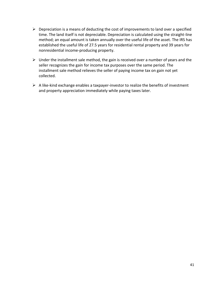- $\triangleright$  Depreciation is a means of deducting the cost of improvements to land over a specified time. The land itself is not depreciable. Depreciation is calculated using the straight-line method; an equal amount is taken annually over the useful life of the asset. The IRS has established the useful life of 27.5 years for residential rental property and 39 years for nonresidential income-producing property.
- $\triangleright$  Under the installment sale method, the gain is received over a number of years and the seller recognizes the gain for income tax purposes over the same period. The installment sale method relieves the seller of paying income tax on gain not yet collected.
- $\triangleright$  A like-kind exchange enables a taxpayer-investor to realize the benefits of investment and property appreciation immediately while paying taxes later.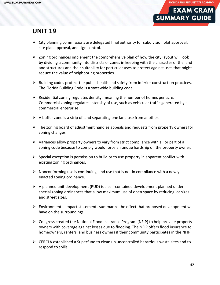

- $\triangleright$  City planning commissions are delegated final authority for subdivision plat approval, site plan approval, and sign control.
- $\triangleright$  Zoning ordinances implement the comprehensive plan of how the city layout will look by dividing a community into districts or zones in keeping with the character of the land and structures and their suitability for particular uses to protect against uses that might reduce the value of neighboring properties.
- $\triangleright$  Building codes protect the public health and safety from inferior construction practices. The Florida Building Code is a statewide building code.
- $\triangleright$  Residential zoning regulates density, meaning the number of homes per acre. Commercial zoning regulates intensity of use, such as vehicular traffic generated by a commercial enterprise.
- $\triangleright$  A buffer zone is a strip of land separating one land use from another.
- $\triangleright$  The zoning board of adjustment handles appeals and requests from property owners for zoning changes.
- $\triangleright$  Variances allow property owners to vary from strict compliance with all or part of a zoning code because to comply would force an undue hardship on the property owner.
- $\triangleright$  Special exception is permission to build or to use property in apparent conflict with existing zoning ordinances.
- $\triangleright$  Nonconforming use is continuing land use that is not in compliance with a newly enacted zoning ordinance.
- $\triangleright$  A planned unit development (PUD) is a self-contained development planned under special zoning ordinances that allow maximum use of open space by reducing lot sizes and street sizes.
- $\triangleright$  Environmental impact statements summarize the effect that proposed development will have on the surroundings.
- $\triangleright$  Congress created the National Flood Insurance Program (NFIP) to help provide property owners with coverage against losses due to flooding. The NFIP offers flood insurance to homeowners, renters, and business owners if their community participates in the NFIP.
- $\triangleright$  CERCLA established a Superfund to clean up uncontrolled hazardous waste sites and to respond to spills.